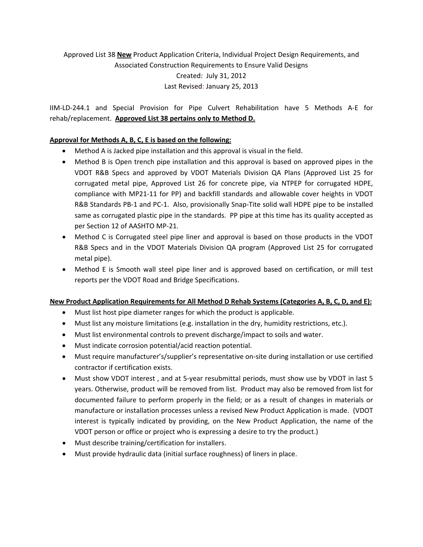# Approved List 38 **New** Product Application Criteria, Individual Project Design Requirements, and Associated Construction Requirements to Ensure Valid Designs Created: July 31, 2012 Last Revised: January 25, 2013

IIM‐LD‐244.1 and Special Provision for Pipe Culvert Rehabilitation have 5 Methods A‐E for rehab/replacement. **Approved List 38 pertains only to Method D.**

## **Approval for Methods A, B, C, E is based on the following:**

- Method A is Jacked pipe installation and this approval is visual in the field.
- Method B is Open trench pipe installation and this approval is based on approved pipes in the VDOT R&B Specs and approved by VDOT Materials Division QA Plans (Approved List 25 for corrugated metal pipe, Approved List 26 for concrete pipe, via NTPEP for corrugated HDPE, compliance with MP21‐11 for PP) and backfill standards and allowable cover heights in VDOT R&B Standards PB-1 and PC-1. Also, provisionally Snap-Tite solid wall HDPE pipe to be installed same as corrugated plastic pipe in the standards. PP pipe at this time has its quality accepted as per Section 12 of AASHTO MP‐21.
- Method C is Corrugated steel pipe liner and approval is based on those products in the VDOT R&B Specs and in the VDOT Materials Division QA program (Approved List 25 for corrugated metal pipe).
- Method E is Smooth wall steel pipe liner and is approved based on certification, or mill test reports per the VDOT Road and Bridge Specifications.

#### **New Product Application Requirements for All Method D Rehab Systems (Categories A, B, C, D, and E):**

- Must list host pipe diameter ranges for which the product is applicable.
- Must list any moisture limitations (e.g. installation in the dry, humidity restrictions, etc.).
- Must list environmental controls to prevent discharge/impact to soils and water.
- Must indicate corrosion potential/acid reaction potential.
- Must require manufacturer's/supplier's representative on-site during installation or use certified contractor if certification exists.
- Must show VDOT interest, and at 5-year resubmittal periods, must show use by VDOT in last 5 years. Otherwise, product will be removed from list. Product may also be removed from list for documented failure to perform properly in the field; or as a result of changes in materials or manufacture or installation processes unless a revised New Product Application is made. (VDOT interest is typically indicated by providing, on the New Product Application, the name of the VDOT person or office or project who is expressing a desire to try the product.)
- Must describe training/certification for installers.
- Must provide hydraulic data (initial surface roughness) of liners in place.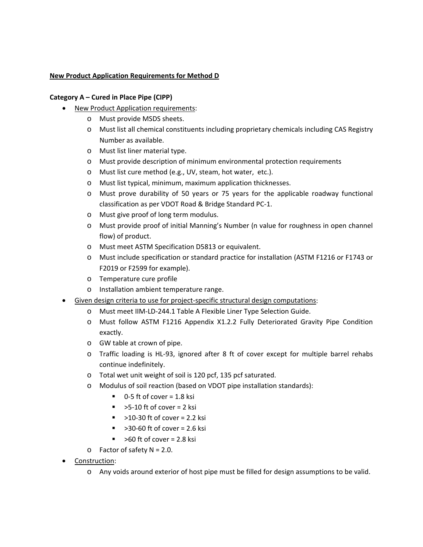## **New Product Application Requirements for Method D**

#### **Category A – Cured in Place Pipe (CIPP)**

- New Product Application requirements:
	- o Must provide MSDS sheets.
	- o Must list all chemical constituents including proprietary chemicals including CAS Registry Number as available.
	- o Must list liner material type.
	- o Must provide description of minimum environmental protection requirements
	- o Must list cure method (e.g., UV, steam, hot water, etc.).
	- o Must list typical, minimum, maximum application thicknesses.
	- o Must prove durability of 50 years or 75 years for the applicable roadway functional classification as per VDOT Road & Bridge Standard PC‐1.
	- o Must give proof of long term modulus.
	- o Must provide proof of initial Manning's Number (n value for roughness in open channel flow) of product.
	- o Must meet ASTM Specification D5813 or equivalent.
	- o Must include specification or standard practice for installation (ASTM F1216 or F1743 or F2019 or F2599 for example).
	- o Temperature cure profile
	- o Installation ambient temperature range.
- Given design criteria to use for project-specific structural design computations:
	- o Must meet IIM‐LD‐244.1 Table A Flexible Liner Type Selection Guide.
	- o Must follow ASTM F1216 Appendix X1.2.2 Fully Deteriorated Gravity Pipe Condition exactly.
	- o GW table at crown of pipe.
	- o Traffic loading is HL‐93, ignored after 8 ft of cover except for multiple barrel rehabs continue indefinitely.
	- o Total wet unit weight of soil is 120 pcf, 135 pcf saturated.
	- o Modulus of soil reaction (based on VDOT pipe installation standards):
		- $\blacksquare$  0-5 ft of cover = 1.8 ksi
		- $\blacktriangleright$  >5-10 ft of cover = 2 ksi
		- $\approx$  >10-30 ft of cover = 2.2 ksi
		- $\approx$  >30-60 ft of cover = 2.6 ksi
		- $\blacktriangleright$  >60 ft of cover = 2.8 ksi
	- $\circ$  Factor of safety N = 2.0.
- Construction:
	- o Any voids around exterior of host pipe must be filled for design assumptions to be valid.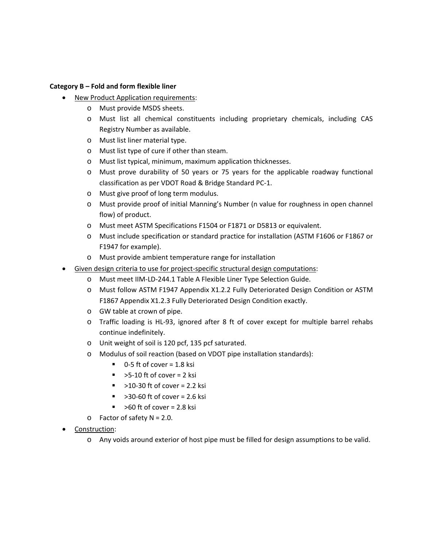#### **Category B – Fold and form flexible liner**

- **New Product Application requirements:** 
	- o Must provide MSDS sheets.
	- o Must list all chemical constituents including proprietary chemicals, including CAS Registry Number as available.
	- o Must list liner material type.
	- o Must list type of cure if other than steam.
	- o Must list typical, minimum, maximum application thicknesses.
	- o Must prove durability of 50 years or 75 years for the applicable roadway functional classification as per VDOT Road & Bridge Standard PC‐1.
	- o Must give proof of long term modulus.
	- o Must provide proof of initial Manning's Number (n value for roughness in open channel flow) of product.
	- o Must meet ASTM Specifications F1504 or F1871 or D5813 or equivalent.
	- o Must include specification or standard practice for installation (ASTM F1606 or F1867 or F1947 for example).
	- o Must provide ambient temperature range for installation
	- Given design criteria to use for project-specific structural design computations:
		- o Must meet IIM‐LD‐244.1 Table A Flexible Liner Type Selection Guide.
		- o Must follow ASTM F1947 Appendix X1.2.2 Fully Deteriorated Design Condition or ASTM F1867 Appendix X1.2.3 Fully Deteriorated Design Condition exactly.
		- o GW table at crown of pipe.
		- o Traffic loading is HL‐93, ignored after 8 ft of cover except for multiple barrel rehabs continue indefinitely.
		- o Unit weight of soil is 120 pcf, 135 pcf saturated.
		- o Modulus of soil reaction (based on VDOT pipe installation standards):
			- $\blacksquare$  0-5 ft of cover = 1.8 ksi
			- $\blacktriangleright$  >5-10 ft of cover = 2 ksi
			- $\blacktriangleright$  >10-30 ft of cover = 2.2 ksi
			- $\approx$  >30-60 ft of cover = 2.6 ksi
			- $\blacktriangleright$  >60 ft of cover = 2.8 ksi
		- $\circ$  Factor of safety N = 2.0.
- Construction:
	- o Any voids around exterior of host pipe must be filled for design assumptions to be valid.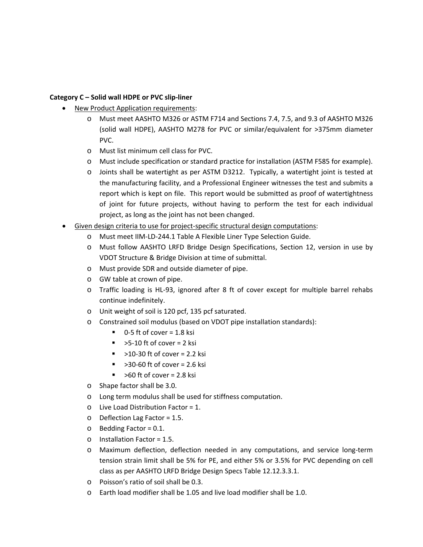### **Category C – Solid wall HDPE or PVC slip‐liner**

- New Product Application requirements:
	- o Must meet AASHTO M326 or ASTM F714 and Sections 7.4, 7.5, and 9.3 of AASHTO M326 (solid wall HDPE), AASHTO M278 for PVC or similar/equivalent for >375mm diameter PVC.
	- o Must list minimum cell class for PVC.
	- o Must include specification or standard practice for installation (ASTM F585 for example).
	- o Joints shall be watertight as per ASTM D3212. Typically, a watertight joint is tested at the manufacturing facility, and a Professional Engineer witnesses the test and submits a report which is kept on file. This report would be submitted as proof of watertightness of joint for future projects, without having to perform the test for each individual project, as long as the joint has not been changed.
- Given design criteria to use for project-specific structural design computations:
	- o Must meet IIM‐LD‐244.1 Table A Flexible Liner Type Selection Guide.
	- o Must follow AASHTO LRFD Bridge Design Specifications, Section 12, version in use by VDOT Structure & Bridge Division at time of submittal.
	- o Must provide SDR and outside diameter of pipe.
	- o GW table at crown of pipe.
	- o Traffic loading is HL‐93, ignored after 8 ft of cover except for multiple barrel rehabs continue indefinitely.
	- o Unit weight of soil is 120 pcf, 135 pcf saturated.
	- o Constrained soil modulus (based on VDOT pipe installation standards):
		- $\blacksquare$  0-5 ft of cover = 1.8 ksi
		- $\blacktriangleright$  >5-10 ft of cover = 2 ksi
		- $\blacktriangleright$  >10-30 ft of cover = 2.2 ksi
		- $\sim$  >30-60 ft of cover = 2.6 ksi
		- $\blacktriangleright$  >60 ft of cover = 2.8 ksi
	- o Shape factor shall be 3.0.
	- o Long term modulus shall be used for stiffness computation.
	- o Live Load Distribution Factor = 1.
	- o Deflection Lag Factor = 1.5.
	- o Bedding Factor = 0.1.
	- o Installation Factor = 1.5.
	- o Maximum deflection, deflection needed in any computations, and service long‐term tension strain limit shall be 5% for PE, and either 5% or 3.5% for PVC depending on cell class as per AASHTO LRFD Bridge Design Specs Table 12.12.3.3.1.
	- o Poisson's ratio of soil shall be 0.3.
	- o Earth load modifier shall be 1.05 and live load modifier shall be 1.0.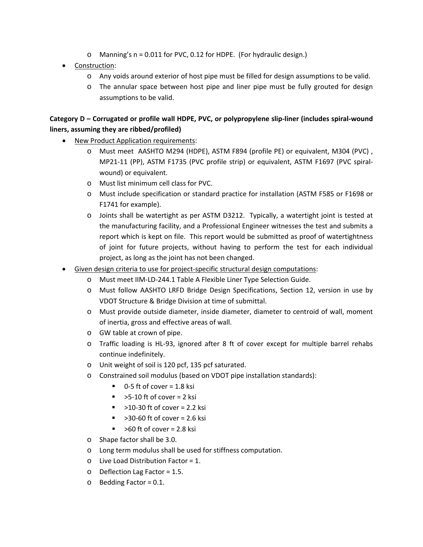- o Manning's n = 0.011 for PVC, 0.12 for HDPE. (For hydraulic design.)
- Construction:
	- o Any voids around exterior of host pipe must be filled for design assumptions to be valid.
	- o The annular space between host pipe and liner pipe must be fully grouted for design assumptions to be valid.

## Category D - Corrugated or profile wall HDPE, PVC, or polypropylene slip-liner (includes spiral-wound **liners, assuming they are ribbed/profiled)**

- New Product Application requirements:
	- o Must meet AASHTO M294 (HDPE), ASTM F894 (profile PE) or equivalent, M304 (PVC) , MP21‐11 (PP), ASTM F1735 (PVC profile strip) or equivalent, ASTM F1697 (PVC spiral‐ wound) or equivalent.
	- o Must list minimum cell class for PVC.
	- o Must include specification or standard practice for installation (ASTM F585 or F1698 or F1741 for example).
	- o Joints shall be watertight as per ASTM D3212. Typically, a watertight joint is tested at the manufacturing facility, and a Professional Engineer witnesses the test and submits a report which is kept on file. This report would be submitted as proof of watertightness of joint for future projects, without having to perform the test for each individual project, as long as the joint has not been changed.
- Given design criteria to use for project-specific structural design computations:
	- o Must meet IIM‐LD‐244.1 Table A Flexible Liner Type Selection Guide.
	- o Must follow AASHTO LRFD Bridge Design Specifications, Section 12, version in use by VDOT Structure & Bridge Division at time of submittal.
	- o Must provide outside diameter, inside diameter, diameter to centroid of wall, moment of inertia, gross and effective areas of wall.
	- o GW table at crown of pipe.
	- o Traffic loading is HL‐93, ignored after 8 ft of cover except for multiple barrel rehabs continue indefinitely.
	- o Unit weight of soil is 120 pcf, 135 pcf saturated.
	- o Constrained soil modulus (based on VDOT pipe installation standards):
		- $\blacksquare$  0-5 ft of cover = 1.8 ksi
		- $\blacktriangleright$  >5-10 ft of cover = 2 ksi
		- $\blacksquare$  >10-30 ft of cover = 2.2 ksi
		- >30‐60 ft of cover = 2.6 ksi
		- $\blacktriangleright$  >60 ft of cover = 2.8 ksi
	- o Shape factor shall be 3.0.
	- o Long term modulus shall be used for stiffness computation.
	- o Live Load Distribution Factor = 1.
	- o Deflection Lag Factor = 1.5.
	- o Bedding Factor = 0.1.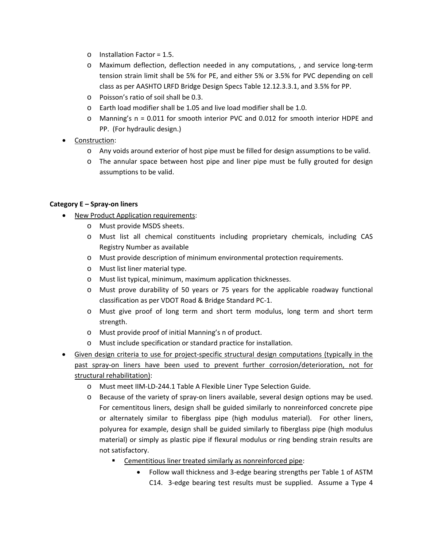- o Installation Factor = 1.5.
- o Maximum deflection, deflection needed in any computations, , and service long‐term tension strain limit shall be 5% for PE, and either 5% or 3.5% for PVC depending on cell class as per AASHTO LRFD Bridge Design Specs Table 12.12.3.3.1, and 3.5% for PP.
- o Poisson's ratio of soil shall be 0.3.
- o Earth load modifier shall be 1.05 and live load modifier shall be 1.0.
- o Manning's n = 0.011 for smooth interior PVC and 0.012 for smooth interior HDPE and PP. (For hydraulic design.)
- Construction:
	- o Any voids around exterior of host pipe must be filled for design assumptions to be valid.
	- o The annular space between host pipe and liner pipe must be fully grouted for design assumptions to be valid.

## **Category E – Spray‐on liners**

- New Product Application requirements:
	- o Must provide MSDS sheets.
	- o Must list all chemical constituents including proprietary chemicals, including CAS Registry Number as available
	- o Must provide description of minimum environmental protection requirements.
	- o Must list liner material type.
	- o Must list typical, minimum, maximum application thicknesses.
	- o Must prove durability of 50 years or 75 years for the applicable roadway functional classification as per VDOT Road & Bridge Standard PC‐1.
	- o Must give proof of long term and short term modulus, long term and short term strength.
	- o Must provide proof of initial Manning's n of product.
	- o Must include specification or standard practice for installation.
- Given design criteria to use for project-specific structural design computations (typically in the past spray‐on liners have been used to prevent further corrosion/deterioration, not for structural rehabilitation):
	- o Must meet IIM‐LD‐244.1 Table A Flexible Liner Type Selection Guide.
	- o Because of the variety of spray‐on liners available, several design options may be used. For cementitous liners, design shall be guided similarly to nonreinforced concrete pipe or alternately similar to fiberglass pipe (high modulus material). For other liners, polyurea for example, design shall be guided similarly to fiberglass pipe (high modulus material) or simply as plastic pipe if flexural modulus or ring bending strain results are not satisfactory.
		- **EXECO EXECO EXECO EXECO F CONCOCO EXECO FINCI** CHRIST CHRIST **CONCOCO EXECO FINCIS** 
			- Follow wall thickness and 3‐edge bearing strengths per Table 1 of ASTM C14. 3-edge bearing test results must be supplied. Assume a Type 4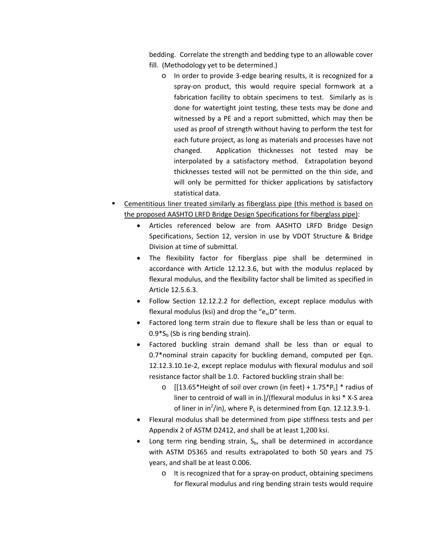bedding. Correlate the strength and bedding type to an allowable cover fill. (Methodology yet to be determined.)

- o In order to provide 3‐edge bearing results, it is recognized for a spray‐on product, this would require special formwork at a fabrication facility to obtain specimens to test. Similarly as is done for watertight joint testing, these tests may be done and witnessed by a PE and a report submitted, which may then be used as proof of strength without having to perform the test for each future project, as long as materials and processes have not changed. Application thicknesses not tested may be interpolated by a satisfactory method. Extrapolation beyond thicknesses tested will not be permitted on the thin side, and will only be permitted for thicker applications by satisfactory statistical data.
- Cementitious liner treated similarly as fiberglass pipe (this method is based on the proposed AASHTO LRFD Bridge Design Specifications for fiberglass pipe):
	- Articles referenced below are from AASHTO LRFD Bridge Design Specifications, Section 12, version in use by VDOT Structure & Bridge Division at time of submittal.
	- The flexibility factor for fiberglass pipe shall be determined in accordance with Article 12.12.3.6, but with the modulus replaced by flexural modulus, and the flexibility factor shall be limited as specified in Article 12.5.6.3.
	- Follow Section 12.12.2.2 for deflection, except replace modulus with flexural modulus (ksi) and drop the " $e_{sc}D$ " term.
	- Factored long term strain due to flexure shall be less than or equal to  $0.9*S<sub>b</sub>$  (Sb is ring bending strain).
	- Factored buckling strain demand shall be less than or equal to 0.7\*nominal strain capacity for buckling demand, computed per Eqn. 12.12.3.10.1e‐2, except replace modulus with flexural modulus and soil resistance factor shall be 1.0. Factored buckling strain shall be:
		- $\circ$  [[13.65\*Height of soil over crown (in feet) + 1.75\*P<sub>L</sub>] \* radius of liner to centroid of wall in in.]/(flexural modulus in ksi \* X‐S area of liner in in<sup>2</sup>/in), where  $P_L$  is determined from Eqn. 12.12.3.9-1.
	- Flexural modulus shall be determined from pipe stiffness tests and per Appendix 2 of ASTM D2412, and shall be at least 1,200 ksi.
	- Long term ring bending strain,  $S_{b}$ , shall be determined in accordance with ASTM D5365 and results extrapolated to both 50 years and 75 years, and shall be at least 0.006.
		- o It is recognized that for a spray‐on product, obtaining specimens for flexural modulus and ring bending strain tests would require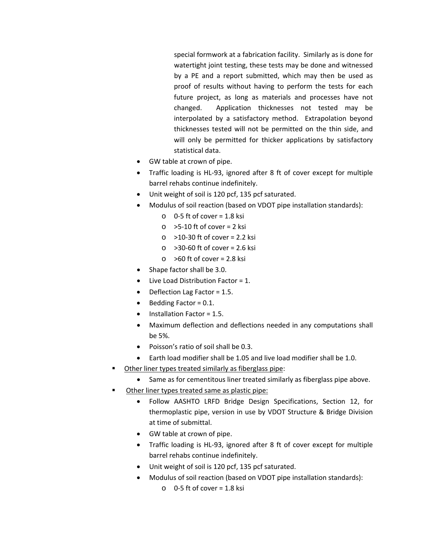special formwork at a fabrication facility. Similarly as is done for watertight joint testing, these tests may be done and witnessed by a PE and a report submitted, which may then be used as proof of results without having to perform the tests for each future project, as long as materials and processes have not changed. Application thicknesses not tested may be interpolated by a satisfactory method. Extrapolation beyond thicknesses tested will not be permitted on the thin side, and will only be permitted for thicker applications by satisfactory statistical data.

- GW table at crown of pipe.
- Traffic loading is HL‐93, ignored after 8 ft of cover except for multiple barrel rehabs continue indefinitely.
- Unit weight of soil is 120 pcf, 135 pcf saturated.
- Modulus of soil reaction (based on VDOT pipe installation standards):
	- $O$  0-5 ft of cover = 1.8 ksi
	- $\circ$  >5-10 ft of cover = 2 ksi
	- $\circ$  >10-30 ft of cover = 2.2 ksi
	- $\circ$  >30-60 ft of cover = 2.6 ksi
	- $\circ$  >60 ft of cover = 2.8 ksi
- Shape factor shall be 3.0.
- Live Load Distribution Factor = 1.
- Deflection Lag Factor = 1.5.
- Bedding Factor = 0.1.
- Installation Factor = 1.5.
- Maximum deflection and deflections needed in any computations shall be 5%.
- Poisson's ratio of soil shall be 0.3.
- Earth load modifier shall be 1.05 and live load modifier shall be 1.0.
- Other liner types treated similarly as fiberglass pipe:
	- Same as for cementitous liner treated similarly as fiberglass pipe above.
- Other liner types treated same as plastic pipe:
	- Follow AASHTO LRFD Bridge Design Specifications, Section 12, for thermoplastic pipe, version in use by VDOT Structure & Bridge Division at time of submittal.
	- GW table at crown of pipe.
	- Traffic loading is HL‐93, ignored after 8 ft of cover except for multiple barrel rehabs continue indefinitely.
	- Unit weight of soil is 120 pcf, 135 pcf saturated.
	- Modulus of soil reaction (based on VDOT pipe installation standards):
		- $O$  0-5 ft of cover = 1.8 ksi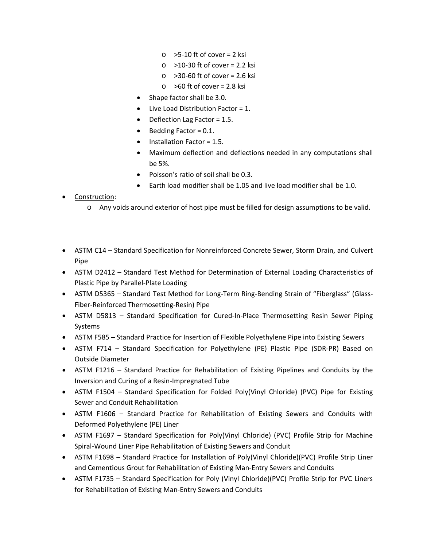- $\circ$  >5-10 ft of cover = 2 ksi
- o >10‐30 ft of cover = 2.2 ksi
- o >30‐60 ft of cover = 2.6 ksi
- $\circ$  >60 ft of cover = 2.8 ksi
- Shape factor shall be 3.0.
- Live Load Distribution Factor = 1.
- Deflection Lag Factor = 1.5.
- Bedding Factor = 0.1.
- Installation Factor = 1.5.
- Maximum deflection and deflections needed in any computations shall be 5%.
- Poisson's ratio of soil shall be 0.3.
- Earth load modifier shall be 1.05 and live load modifier shall be 1.0.

## Construction:

- o Any voids around exterior of host pipe must be filled for design assumptions to be valid.
- ASTM C14 Standard Specification for Nonreinforced Concrete Sewer, Storm Drain, and Culvert Pipe
- ASTM D2412 Standard Test Method for Determination of External Loading Characteristics of Plastic Pipe by Parallel‐Plate Loading
- ASTM D5365 Standard Test Method for Long-Term Ring-Bending Strain of "Fiberglass" (Glass-Fiber‐Reinforced Thermosetting‐Resin) Pipe
- ASTM D5813 Standard Specification for Cured-In-Place Thermosetting Resin Sewer Piping Systems
- ASTM F585 Standard Practice for Insertion of Flexible Polyethylene Pipe into Existing Sewers
- ASTM F714 Standard Specification for Polyethylene (PE) Plastic Pipe (SDR‐PR) Based on Outside Diameter
- ASTM F1216 Standard Practice for Rehabilitation of Existing Pipelines and Conduits by the Inversion and Curing of a Resin‐Impregnated Tube
- ASTM F1504 Standard Specification for Folded Poly(Vinyl Chloride) (PVC) Pipe for Existing Sewer and Conduit Rehabilitation
- ASTM F1606 Standard Practice for Rehabilitation of Existing Sewers and Conduits with Deformed Polyethylene (PE) Liner
- ASTM F1697 Standard Specification for Poly(Vinyl Chloride) (PVC) Profile Strip for Machine Spiral‐Wound Liner Pipe Rehabilitation of Existing Sewers and Conduit
- ASTM F1698 Standard Practice for Installation of Poly(Vinyl Chloride)(PVC) Profile Strip Liner and Cementious Grout for Rehabilitation of Existing Man‐Entry Sewers and Conduits
- ASTM F1735 Standard Specification for Poly (Vinyl Chloride)(PVC) Profile Strip for PVC Liners for Rehabilitation of Existing Man‐Entry Sewers and Conduits